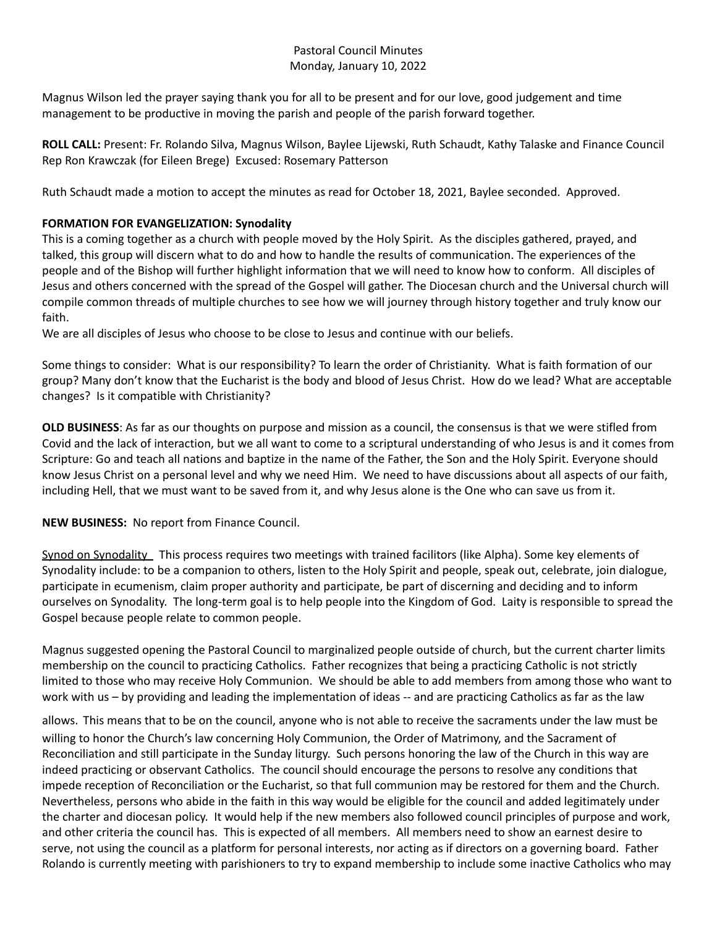## Pastoral Council Minutes Monday, January 10, 2022

Magnus Wilson led the prayer saying thank you for all to be present and for our love, good judgement and time management to be productive in moving the parish and people of the parish forward together.

**ROLL CALL:** Present: Fr. Rolando Silva, Magnus Wilson, Baylee Lijewski, Ruth Schaudt, Kathy Talaske and Finance Council Rep Ron Krawczak (for Eileen Brege) Excused: Rosemary Patterson

Ruth Schaudt made a motion to accept the minutes as read for October 18, 2021, Baylee seconded. Approved.

## **FORMATION FOR EVANGELIZATION: Synodality**

This is a coming together as a church with people moved by the Holy Spirit. As the disciples gathered, prayed, and talked, this group will discern what to do and how to handle the results of communication. The experiences of the people and of the Bishop will further highlight information that we will need to know how to conform. All disciples of Jesus and others concerned with the spread of the Gospel will gather. The Diocesan church and the Universal church will compile common threads of multiple churches to see how we will journey through history together and truly know our faith.

We are all disciples of Jesus who choose to be close to Jesus and continue with our beliefs.

Some things to consider: What is our responsibility? To learn the order of Christianity. What is faith formation of our group? Many don't know that the Eucharist is the body and blood of Jesus Christ. How do we lead? What are acceptable changes? Is it compatible with Christianity?

**OLD BUSINESS**: As far as our thoughts on purpose and mission as a council, the consensus is that we were stifled from Covid and the lack of interaction, but we all want to come to a scriptural understanding of who Jesus is and it comes from Scripture: Go and teach all nations and baptize in the name of the Father, the Son and the Holy Spirit. Everyone should know Jesus Christ on a personal level and why we need Him. We need to have discussions about all aspects of our faith, including Hell, that we must want to be saved from it, and why Jesus alone is the One who can save us from it.

## **NEW BUSINESS:** No report from Finance Council.

Synod on Synodality This process requires two meetings with trained facilitors (like Alpha). Some key elements of Synodality include: to be a companion to others, listen to the Holy Spirit and people, speak out, celebrate, join dialogue, participate in ecumenism, claim proper authority and participate, be part of discerning and deciding and to inform ourselves on Synodality. The long-term goal is to help people into the Kingdom of God. Laity is responsible to spread the Gospel because people relate to common people.

Magnus suggested opening the Pastoral Council to marginalized people outside of church, but the current charter limits membership on the council to practicing Catholics. Father recognizes that being a practicing Catholic is not strictly limited to those who may receive Holy Communion. We should be able to add members from among those who want to work with us – by providing and leading the implementation of ideas -- and are practicing Catholics as far as the law

allows. This means that to be on the council, anyone who is not able to receive the sacraments under the law must be willing to honor the Church's law concerning Holy Communion, the Order of Matrimony, and the Sacrament of Reconciliation and still participate in the Sunday liturgy. Such persons honoring the law of the Church in this way are indeed practicing or observant Catholics. The council should encourage the persons to resolve any conditions that impede reception of Reconciliation or the Eucharist, so that full communion may be restored for them and the Church. Nevertheless, persons who abide in the faith in this way would be eligible for the council and added legitimately under the charter and diocesan policy. It would help if the new members also followed council principles of purpose and work, and other criteria the council has. This is expected of all members. All members need to show an earnest desire to serve, not using the council as a platform for personal interests, nor acting as if directors on a governing board. Father Rolando is currently meeting with parishioners to try to expand membership to include some inactive Catholics who may